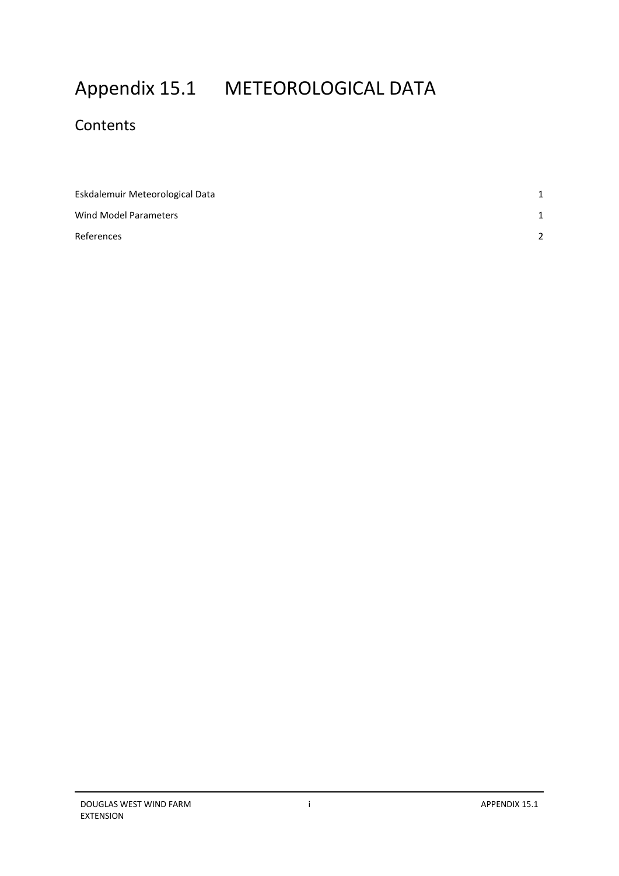## Appendix 15.1 METEOROLOGICAL DATA

## **Contents**

| Eskdalemuir Meteorological Data | 1 |
|---------------------------------|---|
| Wind Model Parameters           | 1 |
| References                      | 2 |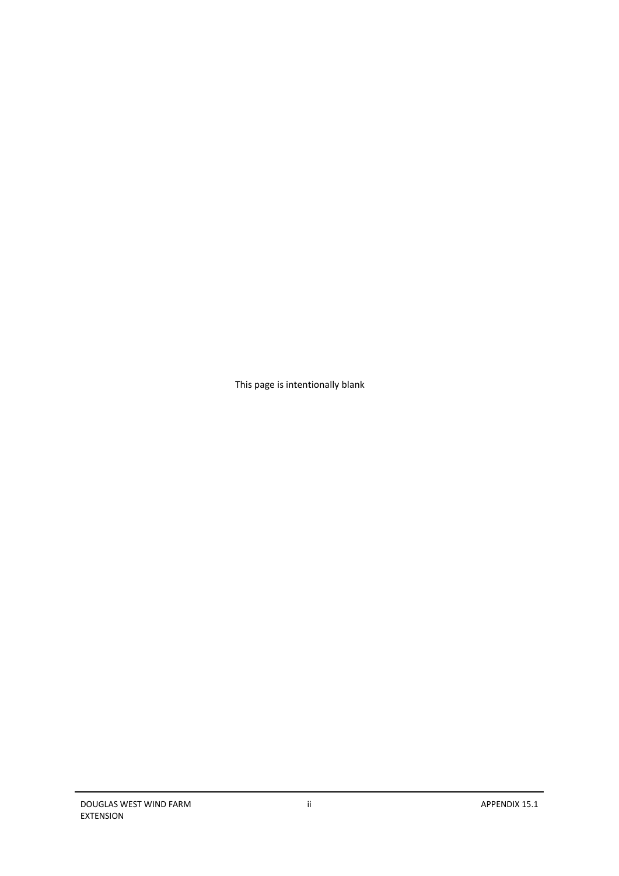This page is intentionally blank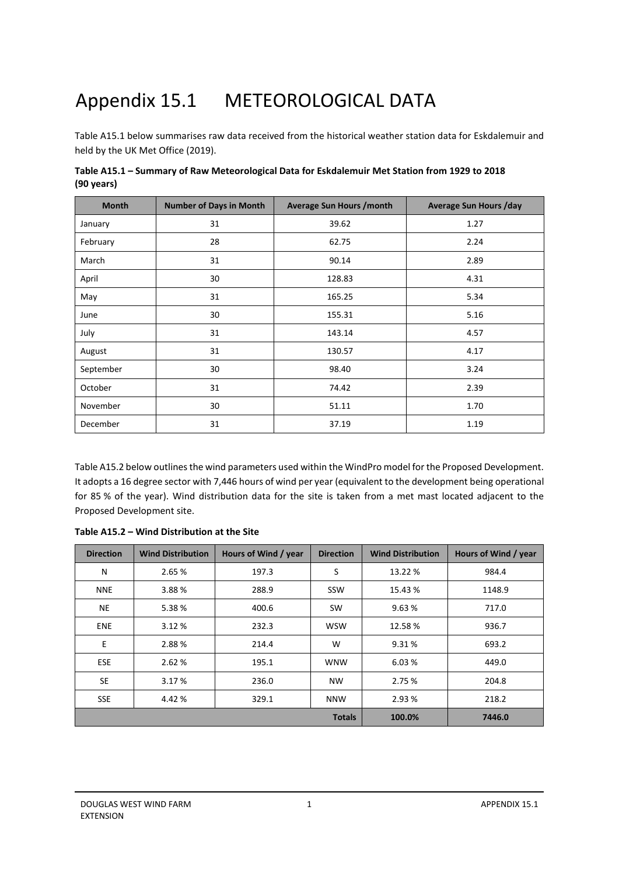## Appendix 15.1 METEOROLOGICAL DATA

Table A15.1 below summarises raw data received from the historical weather station data for Eskdalemuir and held by the UK Met Office (2019).

| <b>Month</b> | <b>Number of Days in Month</b> | <b>Average Sun Hours / month</b> | <b>Average Sun Hours /day</b> |  |
|--------------|--------------------------------|----------------------------------|-------------------------------|--|
| January      | 31                             | 39.62                            | 1.27                          |  |
| February     | 28                             | 62.75                            | 2.24                          |  |
| March        | 31                             | 90.14                            | 2.89                          |  |
| April        | 30                             | 128.83                           | 4.31                          |  |
| May          | 31                             | 165.25                           | 5.34                          |  |
| June         | 30                             | 155.31                           | 5.16                          |  |
| July         | 31                             | 143.14                           | 4.57                          |  |
| August       | 31                             | 130.57                           | 4.17                          |  |
| September    | 30                             | 98.40                            | 3.24                          |  |
| October      | 31                             | 74.42                            | 2.39                          |  |
| November     | 30                             | 51.11                            | 1.70                          |  |
| December     | 31                             | 37.19                            | 1.19                          |  |

**Table A15.1 – Summary of Raw Meteorological Data for Eskdalemuir Met Station from 1929 to 2018 (90 years)**

Table A15.2 below outlines the wind parameters used within the WindPro model for the Proposed Development. It adopts a 16 degree sector with 7,446 hours of wind per year (equivalent to the development being operational for 85 % of the year). Wind distribution data for the site is taken from a met mast located adjacent to the Proposed Development site.

| <b>Direction</b> | <b>Wind Distribution</b> | Hours of Wind / year | <b>Direction</b> | <b>Wind Distribution</b> | Hours of Wind / year |
|------------------|--------------------------|----------------------|------------------|--------------------------|----------------------|
| N                | 2.65 %                   | 197.3                | S                | 13.22 %                  | 984.4                |
| <b>NNE</b>       | 3.88%                    | 288.9                | SSW              | 15.43 %                  | 1148.9               |
| <b>NE</b>        | 5.38%                    | 400.6                | <b>SW</b>        | 9.63%                    | 717.0                |
| <b>ENE</b>       | 3.12%                    | 232.3                | <b>WSW</b>       | 12.58%                   | 936.7                |
| Е                | 2.88%                    | 214.4                | W                | 9.31%                    | 693.2                |
| <b>ESE</b>       | 2.62 %                   | 195.1                | <b>WNW</b>       | 6.03%                    | 449.0                |
| <b>SE</b>        | 3.17%                    | 236.0                | <b>NW</b>        | 2.75 %                   | 204.8                |
| <b>SSE</b>       | 4.42 %                   | 329.1                | <b>NNW</b>       | 2.93 %                   | 218.2                |
|                  |                          |                      | <b>Totals</b>    | 100.0%                   | 7446.0               |

**Table A15.2 – Wind Distribution at the Site**